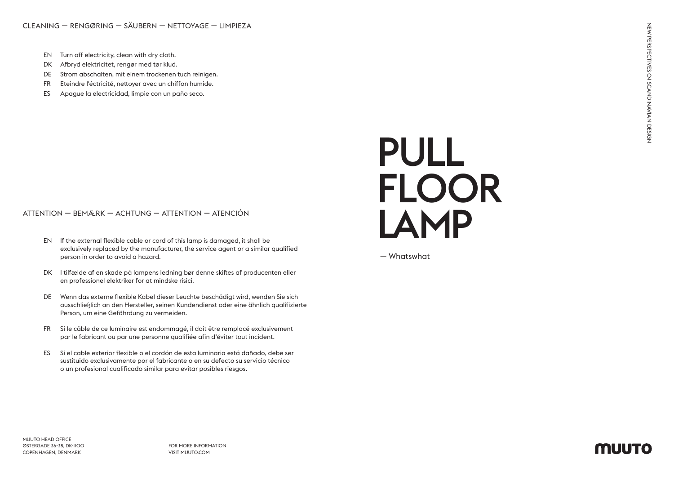- EN Turn off electricity, clean with dry cloth.
- DK Afbryd elektricitet, rengør med tør klud.
- DE Strom abschalten, mit einem trockenen tuch reinigen.
- FR Eteindre l'éctricité, nettoyer avec un chiffon humide.
- ES Apague la electricidad, limpie con un paño seco.

## ATTENTION — BEMÆRK — ACHTUNG — ATTENTION — ATENCIÓN

- EN If the external flexible cable or cord of this lamp is damaged, it shall be exclusively replaced by the manufacturer, the service agent or a similar qualified person in order to avoid a hazard.
- DK I tilfælde af en skade på lampens ledning bør denne skiftes af producenten eller en professionel elektriker for at mindske risici.
- DE Wenn das externe flexible Kabel dieser Leuchte beschädigt wird, wenden Sie sich ausschließlich an den Hersteller, seinen Kundendienst oder eine ähnlich qualifizierte Person, um eine Gefährdung zu vermeiden.
- FR Si le câble de ce luminaire est endommagé, il doit être remplacé exclusivement par le fabricant ou par une personne qualifiée afin d'éviter tout incident.
- ES Si el cable exterior flexible o el cordón de esta luminaria está dañado, debe ser sustituido exclusivamente por el fabricante o en su defecto su servicio técnico o un profesional cualificado similar para evitar posibles riesgos.

## PULL FLOOR LAMP

— Whatswhat

MUUTO HEAD OFFICE ØSTERGADE 36-38, DK-1100 COPENHAGEN, DENMARK

FOR MORE INFORMATION VISIT MUUTO.COM

## MUUTO